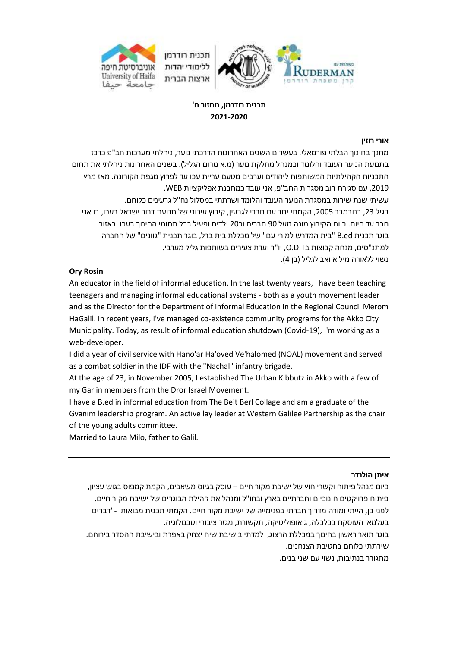

# **תכנית רודרמן, מחזור ח' 2021-2020**

### **אורי רוזין**

מחנך בחינוך הבלתי פורמאלי. בעשרים השנים האחרונות הדרכתי נוער, ניהלתי מערכות חב"פ כרכז בתנועת הנוער העובד והלומד וכמנהל מחלקת נוער )מ.א מרום הגליל(. בשנים האחרונות ניהלתי את תחום התכניות הקהילתיות המשותפות ליהודים וערבים מטעם עריית עכו עד לפרוץ מגפת הקורונה. מאז מרץ ,2019 עם סגירת רוב מסגרות החב"פ, אני עובד כמתכנת אפליקציות WEB. עשיתי שנת שירות במסגרת הנוער העובד והלומד ושרתתי במסלול נח"ל גרעינים כלוחם. בגיל 23, בנובמבר 2005, הקמתי יחד עם חברי לגרעין, קיבוץ עירוני של תנועת דרור ישראל בעכו, בו אני חבר עד היום. כיום הקיבוץ מונה מעל 90 חברים וכ20 ילדים ופעיל בכל תחומי החינוך בעכו ובאזור. בוגר תכנית ed.B" בית המדרש למורי עם" של מכללת בית ברל, בוגר תכנית "גוונים" של החברה למתנ"סים, מנחה קבוצות בT.D.O, יו"ר ועדת צעירים בשותפות גליל מערבי. נשוי ללאורה מילוא ואב לגליל (בן 4).

### **Ory Rosin**

An educator in the field of informal education. In the last twenty years, I have been teaching teenagers and managing informal educational systems - both as a youth movement leader and as the Director for the Department of Informal Education in the Regional Council Merom HaGalil. In recent years, I've managed co-existence community programs for the Akko City Municipality. Today, as result of informal education shutdown (Covid-19), I'm working as a web-developer.

I did a year of civil service with Hano'ar Ha'oved Ve'halomed (NOAL) movement and served as a combat soldier in the IDF with the "Nachal" infantry brigade.

At the age of 23, in November 2005, I established The Urban Kibbutz in Akko with a few of my Gar'in members from the Dror Israel Movement.

I have a B.ed in informal education from The Beit Berl Collage and am a graduate of the Gvanim leadership program. An active lay leader at Western Galilee Partnership as the chair of the young adults committee.

Married to Laura Milo, father to Galil.

### **איתן הולנדר**

כיום מנהל פיתוח וקשרי חוץ של ישיבת מקור חיים – עוסק בגיוס משאבים, הקמת קמפוס בגוש עציון, פיתוח פרויקטים חינוכיים וחברתיים בארץ ובחו"ל ומנהל את קהילת הבוגרים של ישיבת מקור חיים. לפני כן, הייתי ומורה מדריך חברתי בפנימייה של ישיבת מקור חיים. הקמתי תכנית מבואות - 'דברים בעלמא' העוסקת בכלכלה, גיאופוליטיקה, תקשורת, מגזר ציבורי וטכנולוגיה.

בוגר תואר ראשון בחינוך במכללת הרצוג, למדתי בישיבת שיח יצחק באפרת ובישיבת ההסדר בירוחם. שירתתי כלוחם בחטיבת הצנחנים.

מתגורר בנתיבות, נשוי עם שני בנים.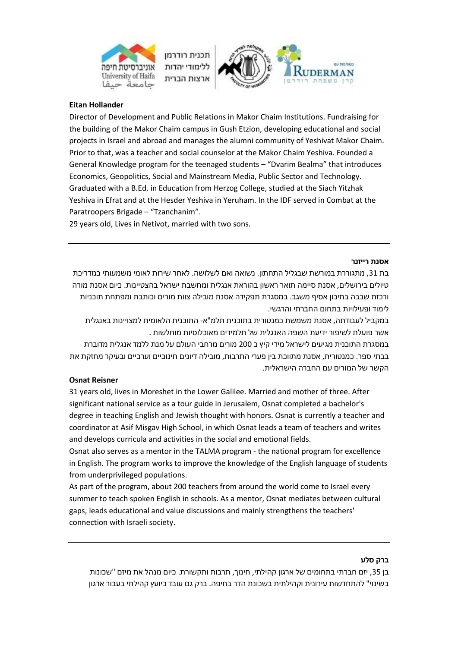



## **Eitan Hollander**

Director of Development and Public Relations in Makor Chaim Institutions. Fundraising for the building of the Makor Chaim campus in Gush Etzion, developing educational and social projects in Israel and abroad and manages the alumni community of Yeshivat Makor Chaim. Prior to that, was a teacher and social counselor at the Makor Chaim Yeshiva. Founded a General Knowledge program for the teenaged students – "Dvarim Bealma" that introduces Economics, Geopolitics, Social and Mainstream Media, Public Sector and Technology. Graduated with a B.Ed. in Education from Herzog College, studied at the Siach Yitzhak Yeshiva in Efrat and at the Hesder Yeshiva in Yeruham. In the IDF served in Combat at the Paratroopers Brigade – "Tzanchanim".

29 years old, Lives in Netivot, married with two sons.

#### **אסנת רייזנר**

בת 31, מתגוררת במורשת שבגליל התחתון. נשואה ואם לשלושה. לאחר שירות לאומי משמעותי כמדריכת טיולים בירושלים, אסנת סיימה תואר ראשון בהוראת אנגלית ומחשבת ישראל בהצטיינות. כיום אסנת מורה ורכזת שכבה בתיכון אסיף משגב. במסגרת תפקידה אסנת מובילה צוות מורים וכותבת ומפתחת תוכניות לימוד ופעילויות בתחום החברתי והרגשי.

במקביל לעבודתה, אסנת משמשת כמנטורית בתוכנית תלמ"א- התוכנית הלאומית למצויינות באנגלית אשר פועלת לשיפור ידיעת השפה האנגלית של תלמידים מאוכלוסיות מוחלשות .

במסגרת התוכנית מגיעים לישראל מידי קיץ כ 200 מורים מרחבי העולם על מנת ללמד אנגלית מדוברת בבתי ספר. כמנטורית, אסנת מתווכת בין פערי התרבות, מובילה דיונים חינוכיים וערכיים ובעיקר מחזקת את הקשר של המורים עם החברה הישראלית.

### **Osnat Reisner**

31 years old, lives in Moreshet in the Lower Galilee. Married and mother of three. After significant national service as a tour guide in Jerusalem, Osnat completed a bachelor's degree in teaching English and Jewish thought with honors. Osnat is currently a teacher and coordinator at Asif Misgav High School, in which Osnat leads a team of teachers and writes and develops curricula and activities in the social and emotional fields.

Osnat also serves as a mentor in the TALMA program - the national program for excellence in English. The program works to improve the knowledge of the English language of students from underprivileged populations.

As part of the program, about 200 teachers from around the world come to Israel every summer to teach spoken English in schools. As a mentor, Osnat mediates between cultural gaps, leads educational and value discussions and mainly strengthens the teachers' connection with Israeli society.

#### **ברק סלע**

בן ,35 יזם חברתי בתחומים של ארגון קהילתי, חינוך, תרבות ותקשורת. כיום מנהל את מיזם "שכונות בשינוי" להתחדשות עירונית וקהילתית בשכונת הדר בחיפה. ברק גם עובד כיועץ קהילתי בעבור ארגון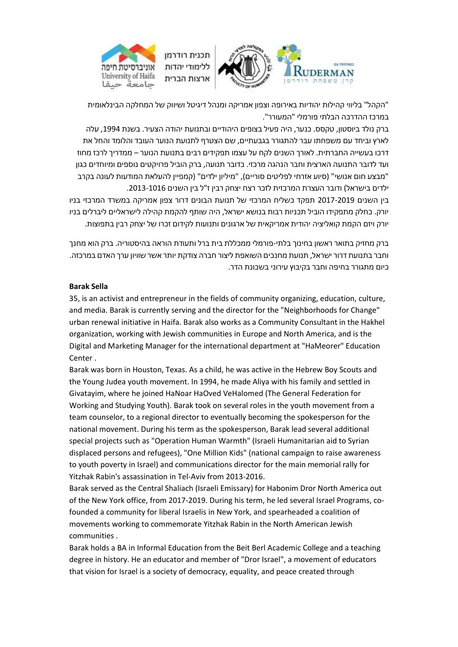

"הקהל" בליווי קהילות יהודיות באירופה וצפון אמריקה ומנהל דיגיטל ושיווק של המחלקה הבינלאומית במרכז ההדרכה הבלתי פורמלי "המעורר".

ברק נולד ביוסטון, טקסס. כנער, היה פעיל בצופים היהודיים ובתנועת יהודה הצעיר. בשנת 1994, עלה לארץ וביחד עם משפחתו עבר להתגורר בגבעתיים, שם הצטרף לתנועת הנוער העובד והלומד והחל את דרכו בעשייה החברתית. לאורך השנים לקח על עצמו תפקידים רבים בתנועת הנוער – ממדריך לרכז מחוז ועד לדובר התנועה הארצית וחבר הנהגה מרכזי. כדובר תנועה, ברק הוביל פרויקטים נוספים ומיוחדים כגון "מבצע חום אנושי" (סיוע אזרחי לפליטים סוריים), "מיליון ילדים" (קמפיין להעלאת המודעות לעונה בקרב ילדים בישראל( ודובר העצרת המרכזית לזכר רצח יצחק רבין ז"ל בין השנים .2013-1016

בין השנים 2017-2019 תפקד כשליח המרכזי של תנועת הבונים דרור צפון אמריקה במשרד המרכזי בניו יורק. כחלק מתפקידו הוביל תכניות רבות בנושא ישראל, היה שותף להקמת קהילה לישראליים ליברלים בניו יורק ויזם הקמת קואליציה יהודית אמריקאית של ארגונים ותנועות לקידום זכרו של יצחק רבין בתפוצות.

ברק מחזיק בתואר ראשון בחינוך בלתי-פורמלי ממכללת בית ברל ותעודת הוראה בהיסטוריה. ברק הוא מחנך וחבר בתנועת דרור ישראל, תנועת מחנכים השואפת ליצור חברה צודקת יותר אשר שוויון ערך האדם במרכזה. כיום מתגורר בחיפה וחבר בקיבוץ עירוני בשכונת הדר.

#### **Barak Sella**

35, is an activist and entrepreneur in the fields of community organizing, education, culture, and media. Barak is currently serving and the director for the "Neighborhoods for Change" urban renewal initiative in Haifa. Barak also works as a Community Consultant in the Hakhel organization, working with Jewish communities in Europe and North America, and is the Digital and Marketing Manager for the international department at "HaMeorer" Education Center .

Barak was born in Houston, Texas. As a child, he was active in the Hebrew Boy Scouts and the Young Judea youth movement. In 1994, he made Aliya with his family and settled in Givatayim, where he joined HaNoar HaOved VeHalomed (The General Federation for Working and Studying Youth). Barak took on several roles in the youth movement from a team counselor, to a regional director to eventually becoming the spokesperson for the national movement. During his term as the spokesperson, Barak lead several additional special projects such as "Operation Human Warmth" (Israeli Humanitarian aid to Syrian displaced persons and refugees), "One Million Kids" (national campaign to raise awareness to youth poverty in Israel) and communications director for the main memorial rally for Yitzhak Rabin's assassination in Tel-Aviv from 2013-2016.

Barak served as the Central Shaliach (Israeli Emissary) for Habonim Dror North America out of the New York office, from 2017-2019. During his term, he led several Israel Programs, cofounded a community for liberal Israelis in New York, and spearheaded a coalition of movements working to commemorate Yitzhak Rabin in the North American Jewish communities .

Barak holds a BA in Informal Education from the Beit Berl Academic College and a teaching degree in history. He an educator and member of "Dror Israel", a movement of educators that vision for Israel is a society of democracy, equality, and peace created through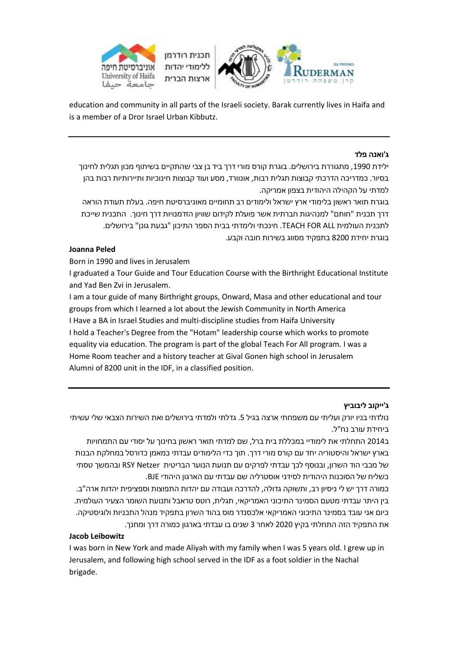



education and community in all parts of the Israeli society. Barak currently lives in Haifa and is a member of a Dror Israel Urban Kibbutz.

### **ג'ואנה פלד**

ילידת ,1990 מתגוררת בירושלים. בוגרת קורס מורי דרך ביד בן צבי שהתקיים בשיתוף מכון תגלית לחינוך בסיור. כמדריכה הדרכתי קבוצות תגלית רבות, אונוורד, מסע ועוד קבוצות חינוכיות ותיירותיות רבות בהן למדתי על הקהילה היהודית בצפון אמריקה.

בוגרת תואר ראשון בלימודי ארץ ישראל ולימודים רב תחומיים מאוניברסיטת חיפה. בעלת תעודת הוראה דרך תכנית "חותם" למנהיגות חברתית אשר פועלת לקידום שוויון הזדמנויות דרך חינוך. התכנית שייכת לתכנית העולמית ALL FOR TEACH. חינכתי ולימדתי בבית הספר התיכון "גבעת גונן" בירושלים. בוגרת יחידת 8200 בתפקיד מסווג בשירות חובה וקבע.

## **Joanna Peled**

Born in 1990 and lives in Jerusalem

I graduated a Tour Guide and Tour Education Course with the Birthright Educational Institute and Yad Ben Zvi in Jerusalem.

I am a tour guide of many Birthright groups, Onward, Masa and other educational and tour groups from which I learned a lot about the Jewish Community in North America I Have a BA in Israel Studies and multi-discipline studies from Haifa University I hold a Teacher's Degree from the "Hotam" leadership course which works to promote equality via education. The program is part of the global Teach For All program. I was a Home Room teacher and a history teacher at Gival Gonen high school in Jerusalem Alumni of 8200 unit in the IDF, in a classified position.

### **ג'ייקוב ליבוביץ**

נולדתי בניו יורק ועליתי עם משפחתי ארצה בגיל .5 גדלתי ולמדתי בירושלים ואת השירות הצבאי שלי עשיתי ביחידת עורב נח"ל.

ב2014 התחלתי את לימודיי במכללת בית ברל, שם למדתי תואר ראשון בחינוך על יסודי עם התמחויות בארץ ישראל והיסטוריה יחד עם קורס מורי דרך. תוך כדי הלימודים עבדתי כמאמן כדורסל במחלקת הבנות של מכבי הוד השרון, ובנוסף לכך עבדתי לפרקים עם תנועת הנוער הבריטית RSY Netzer ובהמשך טסתי כשליח של הסוכנות היהודית לסידני אוסטרליה שם עבדתי עם הארגון היהודי BJE.

כמורה דרך יש לי ניסיון רב, ותשוקה גדולה, להדרכה ועבודה עם יהדות התפוצות וספציפית יהדות ארה"ב. בין היתר עבדתי מטעם הסמינר התיכוני האמריקאי, תגלית, רוטס טראבל ותנועת השומר הצעיר העולמית. כיום אני עובד בסמינר התיכוני האמריקאי אלכסנדר מוס בהוד השרון בתפקיד מנהל התכניות ולוגיסטיקה. את התפקיד הזה התחלתי בקיץ 2020 לאחר 3 שנים בו עבדתי בארגון כמורה דרך ומחנך.

### **Jacob Leibowitz**

I was born in New York and made Aliyah with my family when I was 5 years old. I grew up in Jerusalem, and following high school served in the IDF as a foot soldier in the Nachal brigade.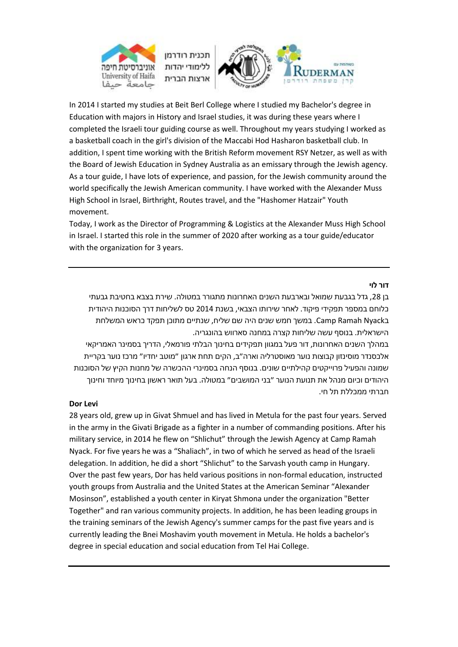



In 2014 I started my studies at Beit Berl College where I studied my Bachelor's degree in Education with majors in History and Israel studies, it was during these years where I completed the Israeli tour guiding course as well. Throughout my years studying I worked as a basketball coach in the girl's division of the Maccabi Hod Hasharon basketball club. In addition, I spent time working with the British Reform movement RSY Netzer, as well as with the Board of Jewish Education in Sydney Australia as an emissary through the Jewish agency. As a tour guide, I have lots of experience, and passion, for the Jewish community around the world specifically the Jewish American community. I have worked with the Alexander Muss High School in Israel, Birthright, Routes travel, and the "Hashomer Hatzair" Youth movement.

Today, I work as the Director of Programming & Logistics at the Alexander Muss High School in Israel. I started this role in the summer of 2020 after working as a tour guide/educator with the organization for 3 years.

### **דור לוי**

בן ,28 גדל בגבעת שמואל ובארבעת השנים האחרונות מתגורר במטולה. שירת בצבא בחטיבת גבעתי כלוחם במספר תפקידי פיקוד. לאחר שירותו הצבאי, בשנת 2014 טס לשליחות דרך הסוכנות היהודית בCamp Ramah Nyack במשך חמש שנים היה שם שליח, שנתיים מתוכן תפקד כראש המשלחת הישראלית. בנוסף עשה שליחות קצרה במחנה סארווש בהונגריה.

במהלך השנים האחרונות, דור פעל במגוון תפקידים בחינוך הבלתי פורמאלי, הדריך בסמינר האמריקאי אלכסנדר מוסינזון קבוצות נוער מאוסטרליה וארה״ב, הקים תחת ארגון ״מוטב יחדיו״ מרכז נוער בקריית שמונה והפעיל פרוייקטים קהילתיים שונים. בנוסף הנחה בסמינרי ההכשרה של מחנות הקיץ של הסוכנות היהודים וכיום מנהל את תנועת הנוער ״בני המושבים״ במטולה. בעל תואר ראשון בחינוך מיוחד וחינוך חברתי ממכללת תל חי.

### **Dor Levi**

28 years old, grew up in Givat Shmuel and has lived in Metula for the past four years. Served in the army in the Givati Brigade as a fighter in a number of commanding positions. After his military service, in 2014 he flew on "Shlichut" through the Jewish Agency at Camp Ramah Nyack. For five years he was a "Shaliach", in two of which he served as head of the Israeli delegation. In addition, he did a short "Shlichut" to the Sarvash youth camp in Hungary. Over the past few years, Dor has held various positions in non-formal education, instructed youth groups from Australia and the United States at the American Seminar "Alexander Mosinson", established a youth center in Kiryat Shmona under the organization "Better Together" and ran various community projects. In addition, he has been leading groups in the training seminars of the Jewish Agency's summer camps for the past five years and is currently leading the Bnei Moshavim youth movement in Metula. He holds a bachelor's degree in special education and social education from Tel Hai College.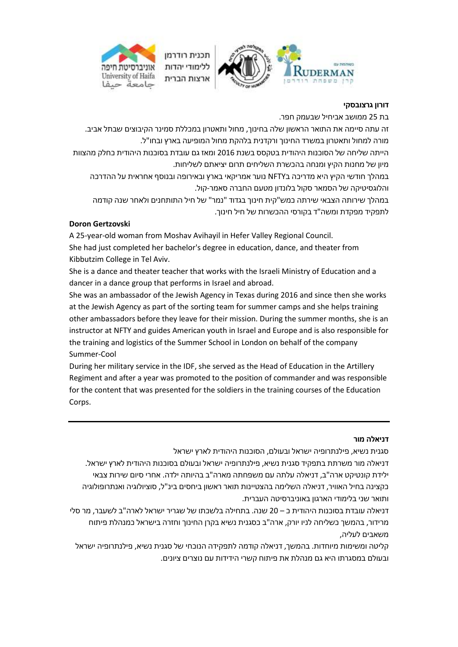

### **דורון גרצובסקי**

בת 25 ממושב אביחיל שבעמק חפר.

זה עתה סיימה את התואר הראשון שלה בחינוך, מחול ותאטרון במכללת סמינר הקיבוצים שבתל אביב. מורה למחול ותאטרון במשרד החינוך ורקדנית בלהקת מחול המופיעה בארץ ובחו"ל.

הייתה שליחה של הסוכנות היהודית בטקסס בשנת 2016 ומאז גם עובדת בסוכנות היהודית כחלק מהצוות מיון של מחנות הקיץ ומנחה בהכשרת השליחים תרום יציאתם לשליחות.

במהלך חודשי הקיץ היא מדריכה בNFTY נוער אמריקאי בארץ ובאירופה ובנוסף אחראית על ההדרכה והלוגסיטיקה של הסמאר סקול בלונדון מטעם החברה סאמר-קול.

במהלך שירותה הצבאי שירתה כמש"קית חינוך בגדוד "נמר" של חיל התותחנים ולאחר שנה קודמה לתפקיד מפקדת ומשה"ד בקורסי ההכשרות של חיל חינוך.

### **Doron Gertzovski**

A 25-year-old woman from Moshav Avihayil in Hefer Valley Regional Council. She had just completed her bachelor's degree in education, dance, and theater from Kibbutzim College in Tel Aviv.

She is a dance and theater teacher that works with the Israeli Ministry of Education and a dancer in a dance group that performs in Israel and abroad.

She was an ambassador of the Jewish Agency in Texas during 2016 and since then she works at the Jewish Agency as part of the sorting team for summer camps and she helps training other ambassadors before they leave for their mission. During the summer months, she is an instructor at NFTY and guides American youth in Israel and Europe and is also responsible for the training and logistics of the Summer School in London on behalf of the company Summer-Cool

During her military service in the IDF, she served as the Head of Education in the Artillery Regiment and after a year was promoted to the position of commander and was responsible for the content that was presented for the soldiers in the training courses of the Education Corps.

#### **דניאלה מור**

סגנית נשיא, פילנתרופיה ישראל ובעולם, הסוכנות היהודית לארץ ישראל

דניאלה מור משרתת בתפקיד סגנית נשיא, פילנתרופיה ישראל ובעולם בסוכנות היהודית לארץ ישראל. ילידת קונטיקט ארה"ב, דניאלה עלתה עם משפחתה מארה"ב בהיותה ילדה. אחרי סיום שירות צבאי כקצינה בחיל האוויר, דניאלה השלימה בהצטיינות תואר ראשון ביחסים בינ"ל, סוציולוגיה ואנתרופולוגיה ותואר שני בלימודי הארגון באוניברסיטה העברית.

דניאלה עובדת בסוכנות היהודית כ – 20 שנה. בתחילה בלשכתו של שגריר ישראל לארה"ב לשעבר, מר סלי מרידור, בהמשך כשליחה לניו יורק, ארה"ב כסגנית נשיא בקרן החינוך וחזרה בישראל כמנהלת פיתוח משאבים לעליה,

קליטה ומשימות מיוחדות. בהמשך, דניאלה קודמה לתפקידה הנוכחי של סגנית נשיא, פילנתרופיה ישראל ובעולם במסגרתו היא גם מנהלת את פיתוח קשרי הידידות עם נוצרים ציונים.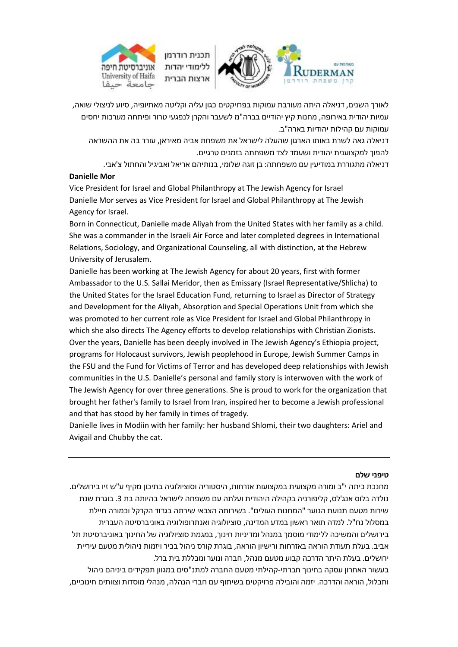



לאורך השנים, דניאלה היתה מעורבת עמוקות בפרויקטים כגון עליה וקליטה מאתיופיה, סיוע לניצולי שואה, עמיות יהודית באירופה, מחנות קיץ יהודיים בברה"מ לשעבר והקרן לנפגעי טרור ופיתחה מערכות יחסים עמוקות עם קהילות יהודיות בארה"ב.

דניאלה גאה לשרת באותו הארגון שהעלה לישראל את משפחת אביה מאיראן, עורר בה את ההשראה להפוך למקצוענית יהודית ושעמד לצד משפחתה בזמנים טרגיים.

דניאלה מתגוררת במודיעין עם משפחתה: בן זוגה שלומי, בנותיהם אריאל ואביגיל והחתול צ'אבי.

### **Danielle Mor**

Vice President for Israel and Global Philanthropy at The Jewish Agency for Israel Danielle Mor serves as Vice President for Israel and Global Philanthropy at The Jewish Agency for Israel.

Born in Connecticut, Danielle made Aliyah from the United States with her family as a child. She was a commander in the Israeli Air Force and later completed degrees in International Relations, Sociology, and Organizational Counseling, all with distinction, at the Hebrew University of Jerusalem.

Danielle has been working at The Jewish Agency for about 20 years, first with former Ambassador to the U.S. Sallai Meridor, then as Emissary (Israel Representative/Shlicha) to the United States for the Israel Education Fund, returning to Israel as Director of Strategy and Development for the Aliyah, Absorption and Special Operations Unit from which she was promoted to her current role as Vice President for Israel and Global Philanthropy in which she also directs The Agency efforts to develop relationships with Christian Zionists. Over the years, Danielle has been deeply involved in The Jewish Agency's Ethiopia project, programs for Holocaust survivors, Jewish peoplehood in Europe, Jewish Summer Camps in the FSU and the Fund for Victims of Terror and has developed deep relationships with Jewish communities in the U.S. Danielle's personal and family story is interwoven with the work of The Jewish Agency for over three generations. She is proud to work for the organization that brought her father's family to Israel from Iran, inspired her to become a Jewish professional and that has stood by her family in times of tragedy.

Danielle lives in Modiin with her family: her husband Shlomi, their two daughters: Ariel and Avigail and Chubby the cat.

### **טיפני שלם**

מחנכת כיתה י"ב ומורה מקצועית במקצועות אזרחות, היסטוריה וסוציולוגיה בתיכון מקיף ע"ש זיו בירושלים. נולדה בלוס אנג'לס, קליפורניה בקהילה היהודית ועלתה עם משפחה לישראל בהיותה בת .3 בוגרת שנת שירות מטעם תנועת הנוער "המחנות העולים". בשירותה הצבאי שירתה בגדוד הקרקל וכמורה חיילת במסלול נח"ל. למדה תואר ראשון במדע המדינה, סוציולוגיה ואנתרופולוגיה באוניברסיטה העברית בירושלים והמשיכה ללימודי מוסמך במנהל ומדיניות חינוך, במגמת סוציולוגיה של החינוך באוניברסיטת תל אביב. בעלת תעודת הוראה באזרחות ורישיון הוראה, בוגרת קורס ניהול בכיר ויזמות ניהולית מטעם עיריית ירושלים. בעלת היתר הדרכה קבוע מטעם מנהל, חברה ונוער ומכללת בית ברל.

בעשור האחרון עסקה בחינוך חברתי-קהילתי מטעם החברה למתנ"סים במגוון תפקידים ביניהם ניהול ותכלול, הוראה והדרכה. יזמה והובילה פרויקטים בשיתוף עם חברי הנהלה, מנהלי מוסדות וצוותים חינוכיים,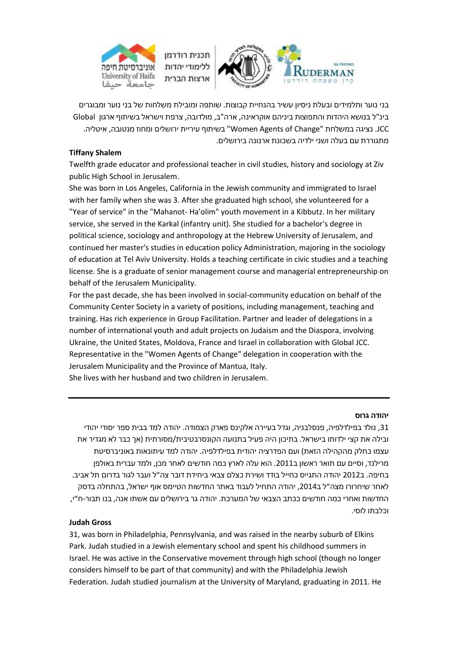



בני נוער ותלמידים ובעלת ניסיון עשיר בהנחיית קבוצות. שותפה ומובילת משלחות של בני נוער ומבוגרים בינ"ל בנושא היהדות והתפוצות ביניהם אוקראינה, ארה"ב, מולדובה, צרפת וישראל בשיתוף ארגון Global JCC. נציגה במשלחת "Change of Agents Women "בשיתוף עיריית ירושלים ומחוז מנטובה, איטליה. מתגוררת עם בעלה ושני ילדיה בשכונת ארנונה בירושלים.

### **Tiffany Shalem**

Twelfth grade educator and professional teacher in civil studies, history and sociology at Ziv public High School in Jerusalem.

She was born in Los Angeles, California in the Jewish community and immigrated to Israel with her family when she was 3. After she graduated high school, she volunteered for a "Year of service" in the "Mahanot- Ha'olim" youth movement in a Kibbutz. In her military service, she served in the Karkal (infantry unit). She studied for a bachelor's degree in political science, sociology and anthropology at the Hebrew University of Jerusalem, and continued her master's studies in education policy Administration, majoring in the sociology of education at Tel Aviv University. Holds a teaching certificate in civic studies and a teaching license. She is a graduate of senior management course and managerial entrepreneurship on behalf of the Jerusalem Municipality.

For the past decade, she has been involved in social-community education on behalf of the Community Center Society in a variety of positions, including management, teaching and training. Has rich experience in Group Facilitation. Partner and leader of delegations in a number of international youth and adult projects on Judaism and the Diaspora, involving Ukraine, the United States, Moldova, France and Israel in collaboration with Global JCC. Representative in the "Women Agents of Change" delegation in cooperation with the Jerusalem Municipality and the Province of Mantua, Italy. She lives with her husband and two children in Jerusalem.

### **יהודה גרוס**

,31 נולד בפילדלפיה, פנסלבניה, וגדל בעיירה אלקינס פארק הצמודה. יהודה למד בבית ספר יסודי יהודי ובילה את קצי ילדותו בישראל. בתיכון היה פעיל בתנועה הקונסרבטיבית/מסורתית )אך כבר לא מגדיר את עצמו כחלק מהקהילה הזאת( ועם הפדרציה יהודית בפילדלפיה. יהודה למד עיתונאות באוניברסיטת מרילנד, וסיים עם תואר ראשון ב.2011 הוא עלה לארץ כמה חודשים לאחר מכן, ולמד עברית באולפן בחיפה. ב2012 יהודה התגייס כחייל בודד ושירת כצלם צבאי ביחידת דובר צה״ל ועבר לגור בדרום תל אביב. לאחר שיחרורו מצה״ל ב,2014 יהודה התחיל לעבוד באתר החדשות הטיימס אוף ישראל, בהתחלה בדסק החדשות ואחרי כמה חודשים ככתב הצבאי של המערכת. יהודה גר בירושלים עם אשתו אנה, בנו תבור-ח״י, וכלבתו לוסי.

### **Judah Gross**

31, was born in Philadelphia, Pennsylvania, and was raised in the nearby suburb of Elkins Park. Judah studied in a Jewish elementary school and spent his childhood summers in Israel. He was active in the Conservative movement through high school (though no longer considers himself to be part of that community) and with the Philadelphia Jewish Federation. Judah studied journalism at the University of Maryland, graduating in 2011. He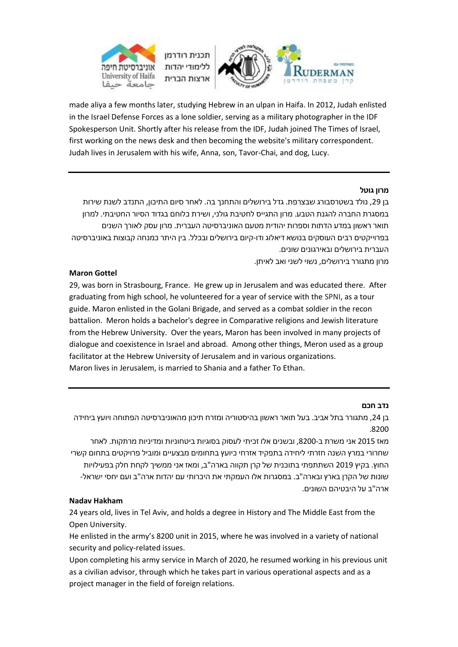



made aliya a few months later, studying Hebrew in an ulpan in Haifa. In 2012, Judah enlisted in the Israel Defense Forces as a lone soldier, serving as a military photographer in the IDF Spokesperson Unit. Shortly after his release from the IDF, Judah joined The Times of Israel, first working on the news desk and then becoming the website's military correspondent. Judah lives in Jerusalem with his wife, Anna, son, Tavor-Chai, and dog, Lucy.

### **מרון גוטל**

בן 29, נולד בשטרסבורג שבצרפת. גדל בירושלים והתחנך בה. לאחר סיום התיכון, התנדב לשנת שירות במסגרת החברה להגנת הטבע. מרון התגייס לחטיבת גולני, ושירת כלוחם בגדוד הסיור החטיבתי. למרון תואר ראשון במדע הדתות וספרות יהודית מטעם האוניברסיטה העברית. מרון עסק לאורך השנים בפרוייקטים רבים העוסקים בנושא דיאלוג ודו-קיום בירושלים ובכלל. בין היתר כמנחה קבוצות באוניברסיטה העברית בירושלים ובאירגונים שונים.

מרון מתגורר בירושלים, נשוי לשני ואב לאיתן.

### **Maron Gottel**

29, was born in Strasbourg, France. He grew up in Jerusalem and was educated there. After graduating from high school, he volunteered for a year of service with the SPNI, as a tour guide. Maron enlisted in the Golani Brigade, and served as a combat soldier in the recon battalion. Meron holds a bachelor's degree in Comparative religions and Jewish literature from the Hebrew University. Over the years, Maron has been involved in many projects of dialogue and coexistence in Israel and abroad. Among other things, Meron used as a group facilitator at the Hebrew University of Jerusalem and in various organizations. Maron lives in Jerusalem, is married to Shania and a father To Ethan.

### **נדב חכם**

בן 24, מתגורר בתל אביב. בעל תואר ראשון בהיסטוריה ומזרח תיכון מהאוניברסיטה הפתוחה ויועץ ביחידה .8200

מאז 2015 אני משרת ב,8200- ובשנים אלו זכיתי לעסוק בסוגיות ביטחוניות ומדיניות מרתקות. לאחר שחרורי במרץ השנה חזרתי ליחידה בתפקיד אזרחי כיועץ בתחומים מבצעיים ומוביל פרויקטים בתחום קשרי החוץ. בקיץ 2019 השתתפתי בתוכנית של קרן תקווה בארה"ב, ומאז אני ממשיך לקחת חלק בפעילויות שונות של הקרן בארץ ובארה"ב. במסגרות אלו העמקתי את היכרותי עם יהדות ארה"ב ועם יחסי ישראל- ארה"ב על היבטיהם השונים.

### **Nadav Hakham**

24 years old, lives in Tel Aviv, and holds a degree in History and The Middle East from the Open University.

He enlisted in the army's 8200 unit in 2015, where he was involved in a variety of national security and policy-related issues.

Upon completing his army service in March of 2020, he resumed working in his previous unit as a civilian advisor, through which he takes part in various operational aspects and as a project manager in the field of foreign relations.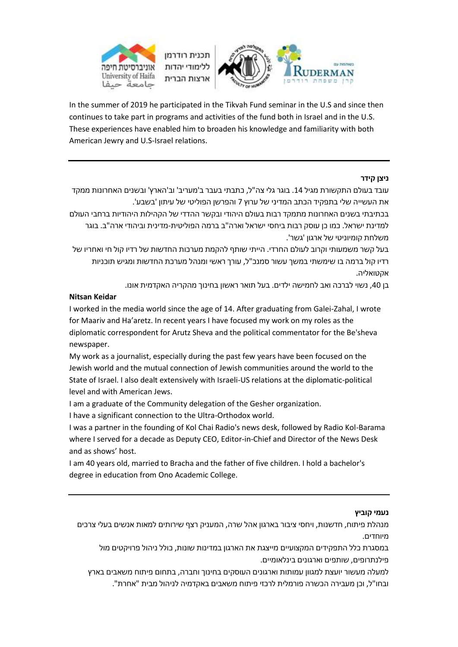

In the summer of 2019 he participated in the Tikvah Fund seminar in the U.S and since then continues to take part in programs and activities of the fund both in Israel and in the U.S. These experiences have enabled him to broaden his knowledge and familiarity with both American Jewry and U.S-Israel relations.

### **ניצן קידר**

עובד בעולם התקשורת מגיל 14. בוגר גלי צה"ל, כתבתי בעבר ב'מעריב' וב'הארץ' ובשנים האחרונות ממקד את העשייה שלי בתפקיד הכתב המדיני של ערוץ 7 והפרשן הפוליטי של עיתון 'בשבע'.

בכתיבתי בשנים האחרונות מתמקד רבות בעולם היהודי ובקשר ההדדי של הקהילות היהודיות ברחבי העולם למדינת ישראל. כמו כן עוסק רבות ביחסי ישראל וארה"ב ברמה הפוליטית-מדינית וביהודי ארה"ב. בוגר משלחת קומיוניטי של ארגון 'גשר'.

בעל קשר משמעותי וקרוב לעולם החרדי. הייתי שותף להקמת מערכות החדשות של רדיו קול חי ואחריו של רדיו קול ברמה בו שימשתי במשך עשור סמנכ"ל, עורך ראשי ומנהל מערכת החדשות ומגיש תוכניות אקטואליה.

בן 40, נשוי לברכה ואב לחמישה ילדים. בעל תואר ראשון בחינוך מהקריה האקדמית אונו.

### **Nitsan Keidar**

I worked in the media world since the age of 14. After graduating from Galei-Zahal, I wrote for Maariv and Ha'aretz. In recent years I have focused my work on my roles as the diplomatic correspondent for Arutz Sheva and the political commentator for the Be'sheva newspaper.

My work as a journalist, especially during the past few years have been focused on the Jewish world and the mutual connection of Jewish communities around the world to the State of Israel. I also dealt extensively with Israeli-US relations at the diplomatic-political level and with American Jews.

I am a graduate of the Community delegation of the Gesher organization.

I have a significant connection to the Ultra-Orthodox world.

I was a partner in the founding of Kol Chai Radio's news desk, followed by Radio Kol-Barama where I served for a decade as Deputy CEO, Editor-in-Chief and Director of the News Desk and as shows' host.

I am 40 years old, married to Bracha and the father of five children. I hold a bachelor's degree in education from Ono Academic College.

### **נעמי קוביץ**

מנהלת פיתוח, חדשנות, ויחסי ציבור בארגון אהל שרה, המעניק רצף שירותים למאות אנשים בעלי צרכים מיוחדים.

במסגרת כלל התפקידים המקצועיים מייצגת את הארגון במדינות שונות, כולל ניהול פרויקטים מול פילנתרופים, שותפים וארגונים בינלאומיים.

למעלה מעשור יועצת למגוון עמותות וארגונים העוסקים בחינוך וחברה, בתחום פיתוח משאבים בארץ ובחו"ל, וכן מעבירה הכשרה פורמלית לרכזי פיתוח משאבים באקדמיה לניהול מבית "אחרת".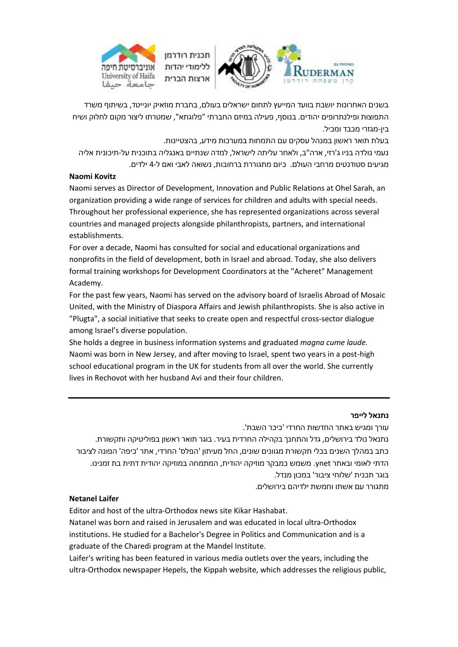



בשנים האחרונות יושבת בוועד המייעץ לתחום ישראלים בעולם, בחברת מוזאיק יונייטד, בשיתוף משרד התפוצות ופילנתרופים יהודים. בנוסף, פעילה במיזם החברתי "פלוגתא", שמטרתו ליצור מקום לחלוק ושיח בין-מגזרי מכבד ומכיל.

בעלת תואר ראשון במנהל עסקים עם התמחות במערכות מידע, בהצטיינות. נעמי נולדה בניו ג'רזי, ארה"ב, ולאחר עליתה לישראל, למדה שנתיים באנגליה בתוכנית על-תיכונית אליה מגיעים סטודנטים מרחבי העולם. כיום מתגוררת ברחובות, נשואה לאבי ואם ל4- ילדים.

## **Naomi Kovitz**

Naomi serves as Director of Development, Innovation and Public Relations at Ohel Sarah, an organization providing a wide range of services for children and adults with special needs. Throughout her professional experience, she has represented organizations across several countries and managed projects alongside philanthropists, partners, and international establishments.

For over a decade, Naomi has consulted for social and educational organizations and nonprofits in the field of development, both in Israel and abroad. Today, she also delivers formal training workshops for Development Coordinators at the "Acheret" Management Academy.

For the past few years, Naomi has served on the advisory board of Israelis Abroad of Mosaic United, with the Ministry of Diaspora Affairs and Jewish philanthropists. She is also active in "Plugta", a social initiative that seeks to create open and respectful cross-sector dialogue among Israel's diverse population.

She holds a degree in business information systems and graduated *magna cume laude.* Naomi was born in New Jersey, and after moving to Israel, spent two years in a post-high school educational program in the UK for students from all over the world. She currently lives in Rechovot with her husband Avi and their four children.

### **נתנאל לייפר**

עורך ומגיש באתר החדשות החרדי 'כיכר השבת'.

נתנאל נולד בירושלים, גדל והתחנך בקהילה החרדית בעיר. בוגר תואר ראשון בפוליטיקה ותקשורת. כתב במהלך השנים בכלי תקשורת מגוונים שונים, החל מעיתון 'הפלס' החרדי, אתר 'כיפה' הפונה לציבור הדתי לאומי ובאתר ynet. משמש כמבקר מוזיקה יהודית, המתמחה במוזיקה יהודית דתית בת זמנינו. בוגר תכנית 'שלוחי ציבור' במכון מנדל.

מתגורר עם אשתו וחמשת ילדיהם בירושלים.

### **Netanel Laifer**

Editor and host of the ultra-Orthodox news site Kikar Hashabat. Natanel was born and raised in Jerusalem and was educated in local ultra-Orthodox institutions. He studied for a Bachelor's Degree in Politics and Communication and is a graduate of the Charedi program at the Mandel Institute.

Laifer's writing has been featured in various media outlets over the years, including the ultra-Orthodox newspaper Hepels, the Kippah website, which addresses the religious public,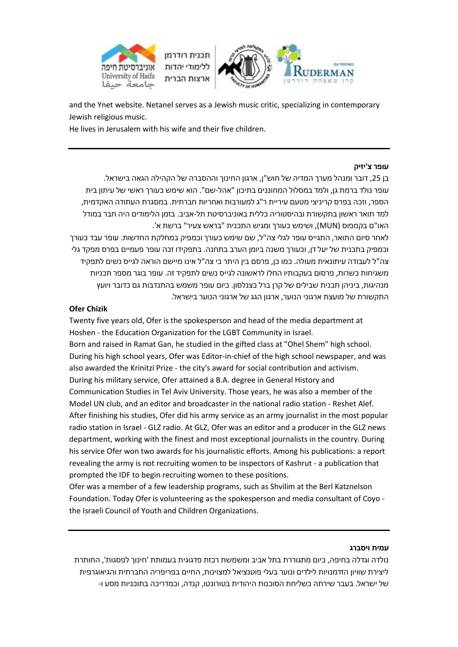



and the Ynet website. Netanel serves as a Jewish music critic, specializing in contemporary Jewish religious music.

He lives in Jerusalem with his wife and their five children.

### **עופר צ'יזיק**

בן ,25 דובר ומנהל מערך המדיה של חוש"ן, ארגון החינוך וההסברה של הקהילה הגאה בישראל. עופר נולד ברמת גן, ולמד במסלול המחוננים בתיכון "אהל-שם". הוא שימש כעורך ראשי של עיתון בית הספר, וזכה בפרס קריניצי מטעם עיריית ר"ג למעורבות ואחריות חברתית. במסגרת העתודה האקדמית, למד תואר ראשון בתקשורת ובהיסטוריה כללית באוניברסיטת תל-אביב. בזמן הלימודים היה חבר במודל האו"ם בקמפוס )MUN), ושימש כעורך ומגיש התכנית "בראש צעיר" ברשת א'. לאחר סיום התואר, התגייס עופר לגלי צה"ל, שם שימש כעורך וכמפיק במחלקת החדשות. עופר עבד כעורך וכמפיק בתכנית של יעל דן, וכעורך משנה ביומן הערב בתחנה. בתפקידו זכה עופר פעמיים בפרס מפקד גלי צה"ל לעבודה עיתונאית מעולה. כמו כן, פרסם בין היתר כי צה"ל אינו מיישם הוראה לגייס נשים לתפקיד משגיחות כשרות, פרסום בעקבותיו החלו לראשונה לגייס נשים לתפקיד זה. עופר בוגר מספר תכניות מנהיגות, ביניהן תכנית שבילים של קרן ברל כצנלסון. כיום עופר משמש בהתנדבות גם כדובר ויועץ התקשורת של מועצת ארגוני הנוער, ארגון הגג של ארגוני הנוער בישראל.

## **Ofer Chizik**

Twenty five years old, Ofer is the spokesperson and head of the media department at Hoshen - the Education Organization for the LGBT Community in Israel. Born and raised in Ramat Gan, he studied in the gifted class at "Ohel Shem" high school. During his high school years, Ofer was Editor-in-chief of the high school newspaper, and was also awarded the Krinitzi Prize - the city's award for social contribution and activism. During his military service, Ofer attained a B.A. degree in General History and Communication Studies in Tel Aviv University. Those years, he was also a member of the Model UN club, and an editor and broadcaster in the national radio station - Reshet Alef. After finishing his studies, Ofer did his army service as an army journalist in the most popular radio station in Israel - GLZ radio. At GLZ, Ofer was an editor and a producer in the GLZ news department, working with the finest and most exceptional journalists in the country. During his service Ofer won two awards for his journalistic efforts. Among his publications: a report revealing the army is not recruiting women to be inspectors of Kashrut - a publication that prompted the IDF to begin recruiting women to these positions.

Ofer was a member of a few leadership programs, such as Shvilim at the Berl Katznelson Foundation. Today Ofer is volunteering as the spokesperson and media consultant of Coyo the Israeli Council of Youth and Children Organizations.

### **עמית ויסברג**

נולדה וגדלה בחיפה, כיום מתגוררת בתל אביב ומשמשת רכזת פדגוגית בעמותת 'חינוך לפסגות', החותרת ליצירת שוויון הזדמנויות לילדים ונוער בעלי פוטנציאל למצוינות, החיים בפריפריה החברתית והגיאוגרפית של ישראל. בעבר שירתה כשליחת הסוכנות היהודית בטורונטו, קנדה, וכמדריכה בתוכניות מסע ו-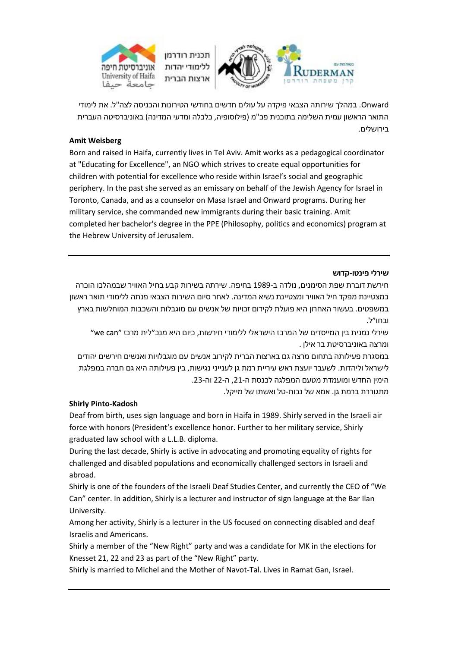



Onward. במהלך שירותה הצבאי פיקדה על עולים חדשים בחודשי הטירונות והכניסה לצה"ל. את לימודי התואר הראשון עמית השלימה בתוכנית פכ"מ )פילוסופיה, כלכלה ומדעי המדינה( באוניברסיטה העברית בירושלים.

## **Amit Weisberg**

Born and raised in Haifa, currently lives in Tel Aviv. Amit works as a pedagogical coordinator at "Educating for Excellence", an NGO which strives to create equal opportunities for children with potential for excellence who reside within Israel's social and geographic periphery. In the past she served as an emissary on behalf of the Jewish Agency for Israel in Toronto, Canada, and as a counselor on Masa Israel and Onward programs. During her military service, she commanded new immigrants during their basic training. Amit completed her bachelor's degree in the PPE (Philosophy, politics and economics) program at the Hebrew University of Jerusalem.

### **שירלי פינטו-קדוש**

חירשת דוברת שפת הסימנים, נולדה ב1989- בחיפה. שירתה בשירות קבע בחיל האוויר שבמהלכו הוכרה כמצטיינת מפקד חיל האוויר ומצטיינת נשיא המדינה. לאחר סיום השירות הצבאי פנתה ללימודי תואר ראשון במשפטים. בעשור האחרון היא פועלת לקידום זכויות של אנשים עם מוגבלות והשכבות המוחלשות בארץ ובחו״ל.

שירלי נמנית בין המייסדים של המרכז הישראלי ללימודי חירשות, כיום היא מנכ״לית מרכז ״can we״ ומרצה באוניברסיטת בר אילן .

במסגרת פעילותה בתחום מרצה גם בארצות הברית לקירוב אנשים עם מוגבלויות ואנשים חירשים יהודים לישראל וליהדות. לשעבר יועצת ראש עיריית רמת גן לענייני נגישות, בין פעילותה היא גם חברה במפלגת הימין החדש ומועמדת מטעם המפלגה לכנסת ה,21- ה22- וה.23-

מתגוררת ברמת גן. אמא של נבות-טל ואשתו של מייקל.

## **Shirly Pinto-Kadosh**

Deaf from birth, uses sign language and born in Haifa in 1989. Shirly served in the Israeli air force with honors (President's excellence honor. Further to her military service, Shirly graduated law school with a L.L.B. diploma.

During the last decade, Shirly is active in advocating and promoting equality of rights for challenged and disabled populations and economically challenged sectors in Israeli and abroad.

Shirly is one of the founders of the Israeli Deaf Studies Center, and currently the CEO of "We Can" center. In addition, Shirly is a lecturer and instructor of sign language at the Bar Ilan University.

Among her activity, Shirly is a lecturer in the US focused on connecting disabled and deaf Israelis and Americans.

Shirly a member of the "New Right" party and was a candidate for MK in the elections for Knesset 21, 22 and 23 as part of the "New Right" party.

Shirly is married to Michel and the Mother of Navot-Tal. Lives in Ramat Gan, Israel.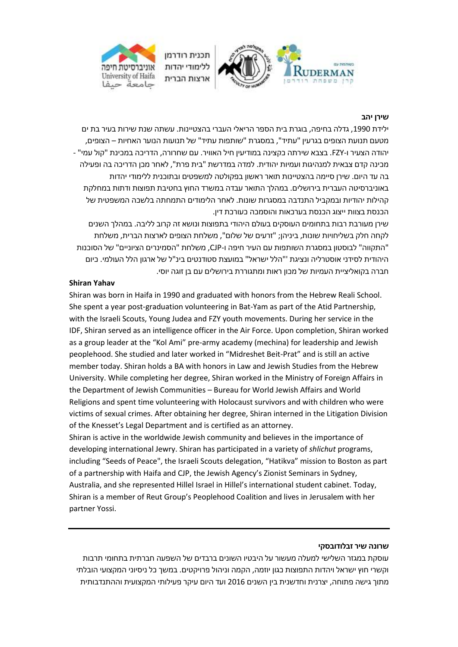

#### **שירן יהב**

ילידת ,1990 גדלה בחיפה, בוגרת בית הספר הריאלי העברי בהצטיינות. עשתה שנת שירות בעיר בת ים מטעם תנועת הצופים בגרעין "עתיד", במסגרת "שותפות עתיד" של תנועות הנוער האחיות – הצופים, יהודה הצעיר ו-FZY. בצבא שירתה כקצינה במודיעין חיל האוויר. עם שחרורה, הדריכה במכינת "קול עמי" - מכינה קדם צבאית למנהיגות ועמיות יהודית. למדה במדרשת "בית פרת", לאחר מכן הדריכה בה ופעילה בה עד היום. שירן סיימה בהצטיינות תואר ראשון בפקולטה למשפטים ובתוכנית ללימודי יהדות באוניברסיטה העברית בירושלים. במהלך התואר עבדה במשרד החוץ בחטיבת תפוצות ודתות במחלקת קהילות יהודיות ובמקביל התנדבה במסגרות שונות. לאחר הלימודים התמחתה בלשכה המשפטית של הכנסת בצוות ייצוג הכנסת בערכאות והוסמכה כעורכת דין.

שירן מעורבת רבות בתחומים העוסקים בעולם היהודי בתפוצות ונושא זה קרוב לליבה. במהלך השנים לקחה חלק בשליחויות שונות, ביניהן; "זרעים של שלום", משלחת הצופים לארצות הברית, משלחת "התקווה" לבוסטון במסגרת השותפות עם העיר חיפה ו-CJP, משלחת "הסמינרים הציוניים" של הסוכנות היהודית לסידני אוסטרליה ונציגת '"הלל ישראל" במועצת סטודנטים בינ"ל של ארגון הלל העולמי. כיום חברה בקואליציית העמיות של מכון ראות ומתגוררת בירושלים עם בן זוגה יוסי.

### **Shiran Yahav**

Shiran was born in Haifa in 1990 and graduated with honors from the Hebrew Reali School. She spent a year post-graduation volunteering in Bat-Yam as part of the Atid Partnership, with the Israeli Scouts, Young Judea and FZY youth movements. During her service in the IDF, Shiran served as an intelligence officer in the Air Force. Upon completion, Shiran worked as a group leader at the "Kol Ami" pre-army academy (mechina) for leadership and Jewish peoplehood. She studied and later worked in "Midreshet Beit-Prat" and is still an active member today. Shiran holds a BA with honors in Law and Jewish Studies from the Hebrew University. While completing her degree, Shiran worked in the Ministry of Foreign Affairs in the Department of Jewish Communities – Bureau for World Jewish Affairs and World Religions and spent time volunteering with Holocaust survivors and with children who were victims of sexual crimes. After obtaining her degree, Shiran interned in the Litigation Division of the Knesset's Legal Department and is certified as an attorney.

Shiran is active in the worldwide Jewish community and believes in the importance of developing international Jewry. Shiran has participated in a variety of *shlichut* programs, including "Seeds of Peace", the Israeli Scouts delegation, "Hatikva" mission to Boston as part of a partnership with Haifa and CJP, the Jewish Agency's Zionist Seminars in Sydney, Australia, and she represented Hillel Israel in Hillel's international student cabinet. Today, Shiran is a member of Reut Group's Peoplehood Coalition and lives in Jerusalem with her partner Yossi.

#### **שרונה שיר זבלודובסקי**

עוסקת במגזר השלישי למעלה מעשור על היבטיו השונים ברבדים של השפעה חברתית בתחומי תרבות וקשרי חוץ ישראל ויהדות התפוצות כגון יוזמה, הקמה וניהול פרויקטים. במשך כל ניסיוני המקצועי הובלתי מתוך גישה פתוחה, יצרנית וחדשנית בין השנים 2016 ועד היום עיקר פעילותי המקצועית וההתנדבותית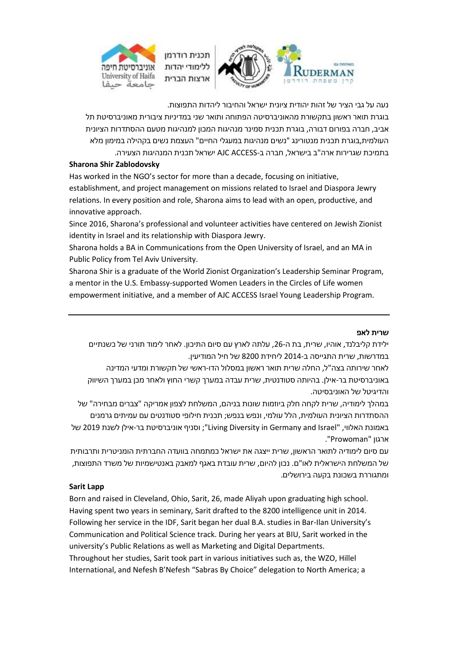



נעה על גבי הציר של זהות יהודית ציונית ישראל והחיבור ליהדות התפוצות.

בוגרת תואר ראשון בתקשורת מהאוניברסיטה הפתוחה ותואר שני במדיניות ציבורית מאוניברסיטת תל אביב, חברה בפורום דבורה, בוגרת תכנית סמינר מנהיגות המכון למנהיגות מטעם ההסתדרות הציונית העולמית,בוגרת תכנית מנטורינג "נשים מנהיגות במעגלי החיים" העצמת נשים בקהילה במימון מלא בתמיכת שגרירות ארה"ב בישראל, חברה ב-ACCESS AJC ישראל תכנית המנהיגות הצעירה.

### **Sharona Shir Zablodovsky**

Has worked in the NGO's sector for more than a decade, focusing on initiative, establishment, and project management on missions related to Israel and Diaspora Jewry relations. In every position and role, Sharona aims to lead with an open, productive, and innovative approach.

Since 2016, Sharona's professional and volunteer activities have centered on Jewish Zionist identity in Israel and its relationship with Diaspora Jewry.

Sharona holds a BA in Communications from the Open University of Israel, and an MA in Public Policy from Tel Aviv University.

Sharona Shir is a graduate of the World Zionist Organization's Leadership Seminar Program, a mentor in the U.S. Embassy-supported Women Leaders in the Circles of Life women empowerment initiative, and a member of AJC ACCESS Israel Young Leadership Program.

### **שרית לאפ**

ילידת קליבלנד, אוהיו, שרית, בת ה,26- עלתה לארץ עם סיום התיכון. לאחר לימוד תורני של כשנתיים במדרשות, שרית התגייסה ב2014- ליחידת 8200 של חיל המודיעין.

לאחר שירותה בצה"ל, החלה שרית תואר ראשון במסלול הדו-ראשי של תקשורת ומדעי המדינה באוניברסיטת בר-אילן. בהיותה סטודנטית, שרית עבדה במערך קשרי החוץ ולאחר מכן במערך השיווק והדיגיטל של האוניבסיטה.

במהלך לימודיה, שרית לקחה חלק ביוזמות שונות בניהם, המשלחת לצפון אמריקה "צברים מבחירה" של ההסתדרות הציונית העולמית, הלל עולמי, ונפש בנפש; תכנית חילופי סטודנטים עם עמיתים גרמנים באמונת האלווי, "Israel and Germany in Diversity Living ;"וסניף אוניברסיטת בר-אילן לשנת 2019 של ארגון "Prowoman".

עם סיום לימודיה לתואר הראשון, שרית ייצגה את ישראל כמתמחה בוועדה החברתית הומניטרית ותרבותית של המשלחת הישראלית לאו"ם. נכון להיום, שרית עובדת באגף למאבק באנטישמיות של משרד התפוצות, ומתגוררת בשכונת בקעה בירושלים.

### **Sarit Lapp**

Born and raised in Cleveland, Ohio, Sarit, 26, made Aliyah upon graduating high school. Having spent two years in seminary, Sarit drafted to the 8200 intelligence unit in 2014. Following her service in the IDF, Sarit began her dual B.A. studies in Bar-Ilan University's Communication and Political Science track. During her years at BIU, Sarit worked in the university's Public Relations as well as Marketing and Digital Departments. Throughout her studies, Sarit took part in various initiatives such as, the WZO, Hillel International, and Nefesh B'Nefesh "Sabras By Choice" delegation to North America; a